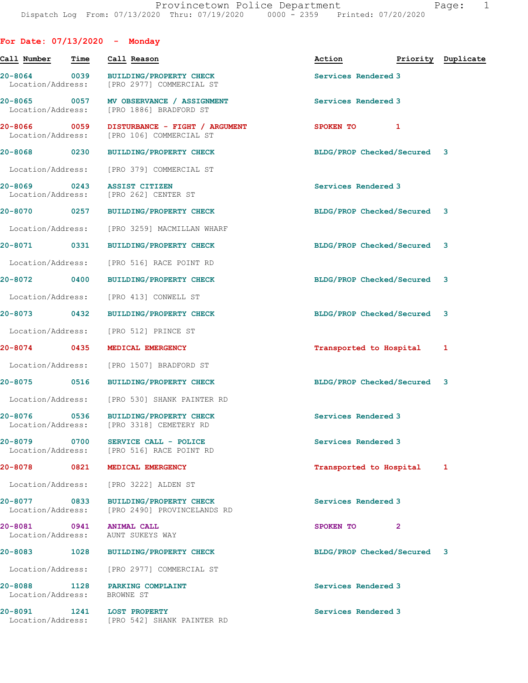| For Date: $07/13/2020$ - Monday               |             |                                                                            |                             |                    |
|-----------------------------------------------|-------------|----------------------------------------------------------------------------|-----------------------------|--------------------|
| Call Number                                   | Time        | Call Reason                                                                | Action                      | Priority Duplicate |
| 20-8064 0039<br>Location/Address:             |             | <b>BUILDING/PROPERTY CHECK</b><br>[PRO 2977] COMMERCIAL ST                 | Services Rendered 3         |                    |
| 20-8065 0057<br>Location/Address:             |             | MV OBSERVANCE / ASSIGNMENT<br>[PRO 1886] BRADFORD ST                       | Services Rendered 3         |                    |
| 20-8066<br>Location/Address:                  | $\sim$ 0059 | DISTURBANCE - FIGHT / ARGUMENT<br>[PRO 106] COMMERCIAL ST                  | SPOKEN TO 1                 |                    |
| 20-8068 0230                                  |             | <b>BUILDING/PROPERTY CHECK</b>                                             | BLDG/PROP Checked/Secured 3 |                    |
|                                               |             | Location/Address: [PRO 379] COMMERCIAL ST                                  |                             |                    |
| 20-8069 0243<br>Location/Address:             |             | <b>ASSIST CITIZEN</b><br>[PRO 262] CENTER ST                               | Services Rendered 3         |                    |
|                                               |             | 20-8070 0257 BUILDING/PROPERTY CHECK                                       | BLDG/PROP Checked/Secured 3 |                    |
| Location/Address:                             |             | [PRO 3259] MACMILLAN WHARF                                                 |                             |                    |
| 20-8071 0331                                  |             | <b>BUILDING/PROPERTY CHECK</b>                                             | BLDG/PROP Checked/Secured 3 |                    |
| Location/Address:                             |             | [PRO 516] RACE POINT RD                                                    |                             |                    |
| 20-8072 0400                                  |             | <b>BUILDING/PROPERTY CHECK</b>                                             | BLDG/PROP Checked/Secured 3 |                    |
| Location/Address:                             |             | [PRO 413] CONWELL ST                                                       |                             |                    |
| 20-8073 0432                                  |             | <b>BUILDING/PROPERTY CHECK</b>                                             | BLDG/PROP Checked/Secured 3 |                    |
| Location/Address:                             |             | [PRO 512] PRINCE ST                                                        |                             |                    |
| 20-8074 0435                                  |             | MEDICAL EMERGENCY                                                          | Transported to Hospital     | 1                  |
| Location/Address:                             |             | [PRO 1507] BRADFORD ST                                                     |                             |                    |
|                                               |             | 20-8075 0516 BUILDING/PROPERTY CHECK                                       | BLDG/PROP Checked/Secured 3 |                    |
|                                               |             | Location/Address: [PRO 530] SHANK PAINTER RD                               |                             |                    |
| 20-8076<br>Location/Address:                  | 0536        | <b>BUILDING/PROPERTY CHECK</b><br>[PRO 3318] CEMETERY RD                   | Services Rendered 3         |                    |
| 20-8079 0700                                  |             | SERVICE CALL - POLICE<br>Location/Address: [PRO 516] RACE POINT RD         | Services Rendered 3         |                    |
| 20-8078 2014                                  | 0821        | MEDICAL EMERGENCY                                                          | Transported to Hospital     | 1                  |
|                                               |             | Location/Address: [PRO 3222] ALDEN ST                                      |                             |                    |
| Location/Address:                             |             | 20-8077 0833 BUILDING/PROPERTY CHECK<br>[PRO 2490] PROVINCELANDS RD        | Services Rendered 3         |                    |
| 20-8081 0941 ANIMAL CALL<br>Location/Address: |             | AUNT SUKEYS WAY                                                            | SPOKEN TO 2                 |                    |
| 20-8083 1028                                  |             | <b>BUILDING/PROPERTY CHECK</b>                                             | BLDG/PROP Checked/Secured 3 |                    |
|                                               |             | Location/Address: [PRO 2977] COMMERCIAL ST                                 |                             |                    |
| Location/Address: BROWNE ST                   |             | 20-8088 1128 PARKING COMPLAINT                                             | Services Rendered 3         |                    |
|                                               |             | 20-8091 1241 LOST PROPERTY<br>Location/Address: [PRO 542] SHANK PAINTER RD | Services Rendered 3         |                    |
|                                               |             |                                                                            |                             |                    |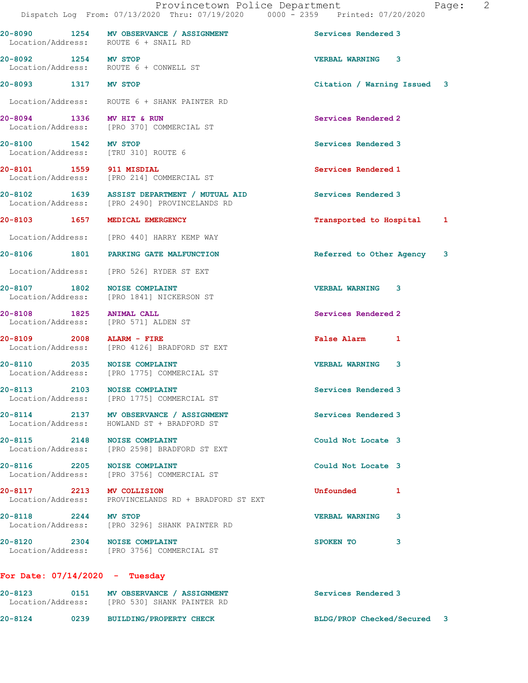|                                                                            | DISPACUL DOG TIOM. 077IJ/ZUZU INIU. 077IJ/ZUZU                                               | UUUU LJJJ                          |  |
|----------------------------------------------------------------------------|----------------------------------------------------------------------------------------------|------------------------------------|--|
| Location/Address: ROUTE 6 + SNAIL RD                                       | 20-8090 1254 MV OBSERVANCE / ASSIGNMENT                                                      | Services Rendered 3                |  |
| 20-8092 1254 MV STOP                                                       | Location/Address: ROUTE 6 + CONWELL ST                                                       | <b>VERBAL WARNING 3</b>            |  |
| 20-8093 1317 MV STOP                                                       |                                                                                              | Citation / Warning Issued 3        |  |
|                                                                            | Location/Address: ROUTE 6 + SHANK PAINTER RD                                                 |                                    |  |
| 20-8094 1336 MV HIT & RUN                                                  | Location/Address: [PRO 370] COMMERCIAL ST                                                    | Services Rendered 2                |  |
| 20-8100 1542 MV STOP<br>Location/Address: [TRU 310] ROUTE 6                |                                                                                              | Services Rendered 3                |  |
| 20-8101 1559 911 MISDIAL                                                   | Location/Address: [PRO 214] COMMERCIAL ST                                                    | Services Rendered 1                |  |
|                                                                            | 20-8102 1639 ASSIST DEPARTMENT / MUTUAL AID<br>Location/Address: [PRO 2490] PROVINCELANDS RD | Services Rendered 3                |  |
| 20-8103 1657 MEDICAL EMERGENCY                                             |                                                                                              | Transported to Hospital 1          |  |
|                                                                            | Location/Address: [PRO 440] HARRY KEMP WAY                                                   |                                    |  |
|                                                                            | 20-8106 1801 PARKING GATE MALFUNCTION                                                        | Referred to Other Agency 3         |  |
|                                                                            | Location/Address: [PRO 526] RYDER ST EXT                                                     |                                    |  |
| 20-8107 1802 NOISE COMPLAINT                                               | Location/Address: [PRO 1841] NICKERSON ST                                                    | <b>VERBAL WARNING 3</b>            |  |
| 20-8108 1825 ANIMAL CALL                                                   | Location/Address: [PRO 571] ALDEN ST                                                         | Services Rendered 2                |  |
| 20-8109 2008 ALARM - FIRE                                                  | Location/Address: [PRO 4126] BRADFORD ST EXT                                                 | <b>False Alarm</b><br>$\mathbf{1}$ |  |
| 20-8110 2035 NOISE COMPLAINT                                               | Location/Address: [PRO 1775] COMMERCIAL ST                                                   | <b>VERBAL WARNING 3</b>            |  |
| 20-8113 2103 NOISE COMPLAINT                                               | Location/Address: [PRO 1775] COMMERCIAL ST                                                   | Services Rendered 3                |  |
|                                                                            | 20-8114 2137 MV OBSERVANCE / ASSIGNMENT<br>Location/Address: HOWLAND ST + BRADFORD ST        | Services Rendered 3                |  |
| 20-8115 2148 NOISE COMPLAINT                                               | Location/Address: [PRO 2598] BRADFORD ST EXT                                                 | Could Not Locate 3                 |  |
| 20-8116 2205                                                               | <b>NOISE COMPLAINT</b><br>Location/Address: [PRO 3756] COMMERCIAL ST                         | Could Not Locate 3                 |  |
| 20-8117 2213 MV COLLISION                                                  | Location/Address: PROVINCELANDS RD + BRADFORD ST EXT                                         | Unfounded<br>1                     |  |
| 20-8118 2244 MV STOP                                                       | Location/Address: [PRO 3296] SHANK PAINTER RD                                                | 3<br><b>VERBAL WARNING</b>         |  |
| 20-8120 2304 NOISE COMPLAINT<br>Location/Address: [PRO 3756] COMMERCIAL ST |                                                                                              | SPOKEN TO<br>3                     |  |

## For Date: 07/14/2020 - Tuesday

| $20 - 8123$<br>Location/Address: | 0151 | MV OBSERVANCE / ASSIGNMENT<br>[PRO 530] SHANK PAINTER RD | Services Rendered 3         |
|----------------------------------|------|----------------------------------------------------------|-----------------------------|
| 20-8124                          | 0239 | <b>BUILDING/PROPERTY CHECK</b>                           | BLDG/PROP Checked/Secured 3 |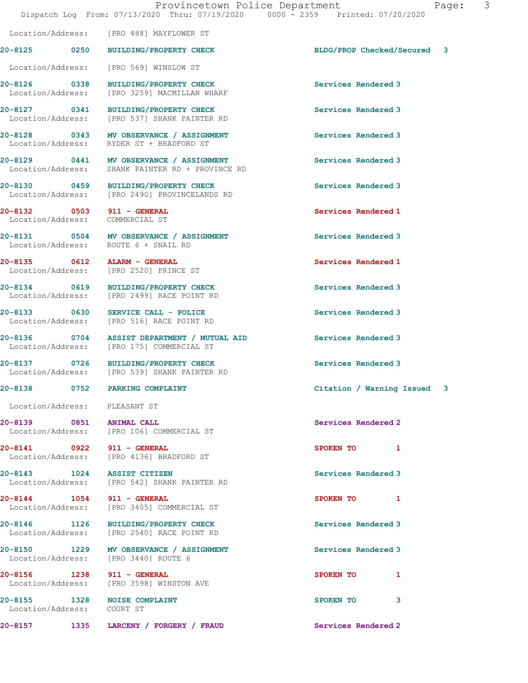20-8127 0341 BUILDING/PROPERTY CHECK Services Rendered 3<br>
Location/Address: [PRO 537] SHANK PAINTER RD [PRO 537] SHANK PAINTER RD 20-8128 0343 MV OBSERVANCE / ASSIGNMENT Services Rendered 3 Location/Address: RYDER ST + BRADFORD ST 20-8129 0441 MV OBSERVANCE / ASSIGNMENT Services Rendered 3 Location/Address: SHANK PAINTER RD + PROVINCE RD 20-8130 0459 BUILDING/PROPERTY CHECK Services Rendered 3 Location/Address: [PRO 2490] PROVINCELANDS RD 20-8132 0503 911 - GENERAL Services Rendered 1 Location/Address: COMMERCIAL ST 20-8131 0504 MV OBSERVANCE / ASSIGNMENT Services Rendered 3<br>
Location/Address: ROUTE 6 + SNAIL RD Location/Address: 20-8135 0612 ALARM - GENERAL Services Rendered 1 Location/Address: [PRO 2520] PRINCE ST 20-8134 0619 BUILDING/PROPERTY CHECK Services Rendered 3 Location/Address: [PRO 2499] RACE POINT RD 20-8133 0630 SERVICE CALL - POLICE Services Rendered 3 Location/Address: [PRO 516] RACE POINT RD 20-8136 0704 ASSIST DEPARTMENT / MUTUAL AID Services Rendered 3 Location/Address: [PRO 175] COMMERCIAL ST 20-8137 0726 BUILDING/PROPERTY CHECK Services Rendered 3<br>
Location/Address: [PRO 539] SHANK PAINTER RD [PRO 539] SHANK PAINTER RD 20-8138 0752 PARKING COMPLAINT Citation / Warning Issued 3 Location/Address: PLEASANT ST 20-8139 0851 ANIMAL CALL Services Rendered 2 Location/Address: [PRO 106] COMMERCIAL ST 20-8141 0922 911 - GENERAL SPOKEN TO 1 Location/Address: [PRO 4136] BRADFORD ST 20-8143 1024 ASSIST CITIZEN Services Rendered 3<br>
Location/Address: [PRO 542] SHANK PAINTER RD [PRO 542] SHANK PAINTER RD 20-8144 1054 911 - GENERAL SPOKEN TO 1 Location/Address: [PRO 3405] COMMERCIAL ST 20-8146 1126 BUILDING/PROPERTY CHECK Services Rendered 3 Location/Address: [PRO 2540] RACE POINT RD 20-8150 1229 MV OBSERVANCE / ASSIGNMENT Services Rendered 3 Location/Address: [PRO 3440] ROUTE 6 20-8156 1238 911 - GENERAL SPOKEN TO 1 Location/Address: [PRO 3598] WINSTON AVE

20-8155 1328 NOISE COMPLAINT **SPOKEN TO** 3 Location/Address: COURT ST

 Location/Address: [PRO 569] WINSLOW ST 20-8126 0338 BUILDING/PROPERTY CHECK Services Rendered 3 Location/Address: [PRO 3259] MACMILLAN WHARF

Location/Address: [PRO 488] MAYFLOWER ST

20-8157 1335 LARCENY / FORGERY / FRAUD Services Rendered 2

20-8125 0250 BUILDING/PROPERTY CHECK BLDG/PROP Checked/Secured 3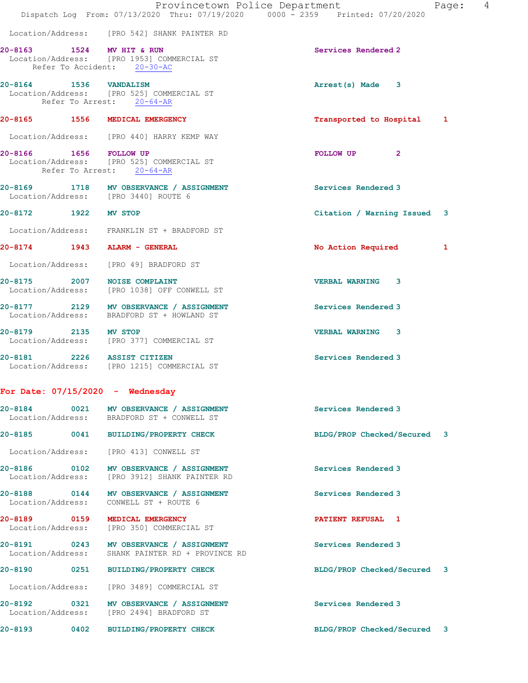|                                   |      |                                                                                          | Provincetown Police Department | 4<br>Page: |
|-----------------------------------|------|------------------------------------------------------------------------------------------|--------------------------------|------------|
|                                   |      | Dispatch Log From: 07/13/2020 Thru: 07/19/2020 0000 - 2359 Printed: 07/20/2020           |                                |            |
|                                   |      | Location/Address: [PRO 542] SHANK PAINTER RD                                             |                                |            |
| 20-8163 1524 MV HIT & RUN         |      | Location/Address: [PRO 1953] COMMERCIAL ST<br>Refer To Accident: 20-30-AC                | Services Rendered 2            |            |
| 20-8164 1536 VANDALISM            |      | Location/Address: [PRO 525] COMMERCIAL ST<br>Refer To Arrest: 20-64-AR                   | Arrest(s) Made 3               |            |
|                                   |      | 20-8165 1556 MEDICAL EMERGENCY                                                           | Transported to Hospital 1      |            |
|                                   |      | Location/Address: [PRO 440] HARRY KEMP WAY                                               |                                |            |
| $20 - 8166$                       |      | 1656 FOLLOW UP<br>Location/Address: [PRO 525] COMMERCIAL ST<br>Refer To Arrest: 20-64-AR | $\mathbf{2}$<br>FOLLOW UP      |            |
|                                   |      | 20-8169 1718 MV OBSERVANCE / ASSIGNMENT<br>Location/Address: [PRO 3440] ROUTE 6          | Services Rendered 3            |            |
| 20-8172 1922 MV STOP              |      |                                                                                          | Citation / Warning Issued 3    |            |
|                                   |      | Location/Address: FRANKLIN ST + BRADFORD ST                                              |                                |            |
|                                   |      | 20-8174 1943 ALARM - GENERAL                                                             | No Action Required             | 1          |
|                                   |      | Location/Address: [PRO 49] BRADFORD ST                                                   |                                |            |
|                                   |      | 20-8175 2007 NOISE COMPLAINT<br>Location/Address: [PRO 1038] OFF CONWELL ST              | <b>VERBAL WARNING 3</b>        |            |
|                                   |      | 20-8177 2129 MV OBSERVANCE / ASSIGNMENT<br>Location/Address: BRADFORD ST + HOWLAND ST    | Services Rendered 3            |            |
| 20-8179 2135 MV STOP              |      | Location/Address: [PRO 377] COMMERCIAL ST                                                | <b>VERBAL WARNING</b><br>3     |            |
|                                   |      | 20-8181 2226 ASSIST CITIZEN<br>Location/Address: [PRO 1215] COMMERCIAL ST                | Services Rendered 3            |            |
|                                   |      | For Date: $07/15/2020 -$ Wednesday                                                       |                                |            |
|                                   |      | 20-8184 0021 MV OBSERVANCE / ASSIGNMENT<br>Location/Address: BRADFORD ST + CONWELL ST    | Services Rendered 3            |            |
|                                   |      | 20-8185 0041 BUILDING/PROPERTY CHECK                                                     | BLDG/PROP Checked/Secured 3    |            |
| Location/Address:                 |      | [PRO 413] CONWELL ST                                                                     |                                |            |
| 20-8186 0102<br>Location/Address: |      | MV OBSERVANCE / ASSIGNMENT<br>[PRO 3912] SHANK PAINTER RD                                | Services Rendered 3            |            |
| Location/Address:                 |      | 20-8188 0144 MV OBSERVANCE / ASSIGNMENT<br>CONWELL ST + ROUTE 6                          | Services Rendered 3            |            |
| 20-8189 0159<br>Location/Address: |      | MEDICAL EMERGENCY<br>[PRO 350] COMMERCIAL ST                                             | PATIENT REFUSAL 1              |            |
| 20-8191 0243<br>Location/Address: |      | MV OBSERVANCE / ASSIGNMENT<br>SHANK PAINTER RD + PROVINCE RD                             | Services Rendered 3            |            |
| 20-8190 0251                      |      | <b>BUILDING/PROPERTY CHECK</b>                                                           | BLDG/PROP Checked/Secured 3    |            |
| Location/Address:                 |      | [PRO 3489] COMMERCIAL ST                                                                 |                                |            |
| 20-8192 0321                      |      | MV OBSERVANCE / ASSIGNMENT<br>Location/Address: [PRO 2494] BRADFORD ST                   | Services Rendered 3            |            |
| 20-8193                           | 0402 | <b>BUILDING/PROPERTY CHECK</b>                                                           | BLDG/PROP Checked/Secured 3    |            |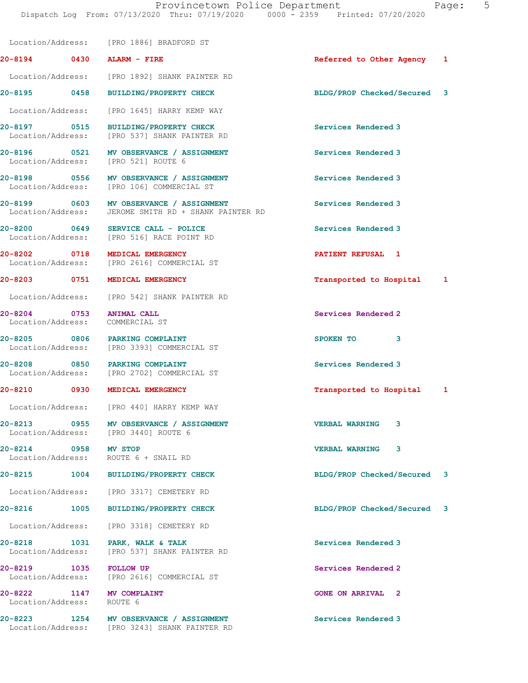20-8194 0430 ALARM - FIRE Referred to Other Agency 1

Location/Address: [PRO 1886] BRADFORD ST

Location/Address: [PRO 1892] SHANK PAINTER RD

20-8195 0458 BUILDING/PROPERTY CHECK BLDG/PROP Checked/Secured 3 Location/Address: [PRO 1645] HARRY KEMP WAY 20-8197 0515 BUILDING/PROPERTY CHECK Services Rendered 3 Location/Address: [PRO 537] SHANK PAINTER RD 20-8196 0521 MV OBSERVANCE / ASSIGNMENT Services Rendered 3 Location/Address: [PRO 521] ROUTE 6 20-8198 0556 MV OBSERVANCE / ASSIGNMENT Services Rendered 3 Location/Address: [PRO 106] COMMERCIAL ST 20-8199 0603 MV OBSERVANCE / ASSIGNMENT Services Rendered 3 Location/Address: JEROME SMITH RD + SHANK PAINTER RD 20-8200 0649 SERVICE CALL - POLICE Services Rendered 3 Location/Address: [PRO 516] RACE POINT RD 20-8202 0718 MEDICAL EMERGENCY PATIENT REFUSAL 1 [PRO 2616] COMMERCIAL ST 20-8203 0751 MEDICAL EMERGENCY Transported to Hospital 1 Location/Address: [PRO 542] SHANK PAINTER RD 20-8204 0753 ANIMAL CALL Services Rendered 2 Location/Address: COMMERCIAL ST 20-8205 0806 PARKING COMPLAINT SPOKEN TO 3 Location/Address: [PRO 3393] COMMERCIAL ST 20-8208 0850 PARKING COMPLAINT SERVICES Rendered 3 Location/Address: [PRO 2702] COMMERCIAL ST 20-8210 0930 MEDICAL EMERGENCY **120 CONTACT 1 Transported to Hospital** 1 Location/Address: [PRO 440] HARRY KEMP WAY 20-8213 0955 MV OBSERVANCE / ASSIGNMENT VERBAL WARNING 3<br>
Location/Address: [PRO 3440] ROUTE 6 [PRO 3440] ROUTE 6 20-8214 0958 MV STOP VERBAL WARNING 3 ROUTE 6 + SNAIL RD 20-8215 1004 BUILDING/PROPERTY CHECK BLDG/PROP Checked/Secured 3 Location/Address: [PRO 3317] CEMETERY RD 20-8216 1005 BUILDING/PROPERTY CHECK BLDG/PROP Checked/Secured 3 Location/Address: [PRO 3318] CEMETERY RD 20-8218 1031 PARK, WALK & TALK Services Rendered 3 Location/Address: [PRO 537] SHANK PAINTER RD 20-8219 1035 FOLLOW UP Services Rendered 2 Location/Address: [PRO 2616] COMMERCIAL ST 20-8222 1147 MV COMPLAINT 12 20 NORTH AND THE GONE ON ARRIVAL 2 Location/Address: ROUTE 6 20-8223 1254 MV OBSERVANCE / ASSIGNMENT Services Rendered 3 Location/Address: [PRO 3243] SHANK PAINTER RD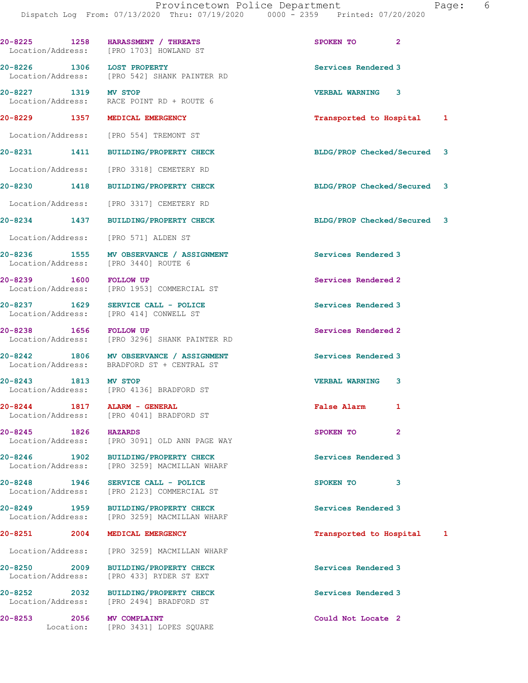|        | Page: |  |
|--------|-------|--|
| $\cap$ |       |  |

|                                   |      | 20-8225 1258 HARASSMENT / THREATS<br>Location/Address: [PRO 1703] HOWLAND ST          | SPOKEN TO<br>$\mathbf{2}$      |
|-----------------------------------|------|---------------------------------------------------------------------------------------|--------------------------------|
|                                   |      | 20-8226 1306 LOST PROPERTY<br>Location/Address: [PRO 542] SHANK PAINTER RD            | Services Rendered 3            |
| 20-8227 1319 MV STOP              |      | Location/Address: RACE POINT RD + ROUTE 6                                             | VERBAL WARNING 3               |
|                                   |      | 20-8229 1357 MEDICAL EMERGENCY                                                        | Transported to Hospital<br>1   |
|                                   |      | Location/Address: [PRO 554] TREMONT ST                                                |                                |
|                                   |      | 20-8231 1411 BUILDING/PROPERTY CHECK                                                  | BLDG/PROP Checked/Secured<br>3 |
|                                   |      | Location/Address: [PRO 3318] CEMETERY RD                                              |                                |
| 20-8230 1418                      |      | <b>BUILDING/PROPERTY CHECK</b>                                                        | BLDG/PROP Checked/Secured 3    |
|                                   |      | Location/Address: [PRO 3317] CEMETERY RD                                              |                                |
|                                   |      | 20-8234 1437 BUILDING/PROPERTY CHECK                                                  | BLDG/PROP Checked/Secured 3    |
|                                   |      | Location/Address: [PRO 571] ALDEN ST                                                  |                                |
|                                   |      | 20-8236 1555 MV OBSERVANCE / ASSIGNMENT<br>Location/Address: [PRO 3440] ROUTE 6       | Services Rendered 3            |
|                                   |      | 20-8239 1600 FOLLOW UP<br>Location/Address: [PRO 1953] COMMERCIAL ST                  | Services Rendered 2            |
|                                   |      | 20-8237 1629 SERVICE CALL - POLICE<br>Location/Address: [PRO 414] CONWELL ST          | Services Rendered 3            |
|                                   |      | 20-8238 1656 FOLLOW UP<br>Location/Address: [PRO 3296] SHANK PAINTER RD               | Services Rendered 2            |
|                                   |      | 20-8242 1806 MV OBSERVANCE / ASSIGNMENT<br>Location/Address: BRADFORD ST + CENTRAL ST | Services Rendered 3            |
| 20-8243 1813 MV STOP              |      | Location/Address: [PRO 4136] BRADFORD ST                                              | <b>VERBAL WARNING</b><br>3     |
|                                   |      | 20-8244 1817 ALARM - GENERAL<br>Location/Address: [PRO 4041] BRADFORD ST              | <b>False Alarm</b><br>1        |
| 20-8245 1826                      |      | <b>HAZARDS</b><br>Location/Address: [PRO 3091] OLD ANN PAGE WAY                       | $\overline{2}$<br>SPOKEN TO    |
|                                   |      | 20-8246 1902 BUILDING/PROPERTY CHECK<br>Location/Address: [PRO 3259] MACMILLAN WHARF  | Services Rendered 3            |
| Location/Address:                 |      | 20-8248 1946 SERVICE CALL - POLICE<br>[PRO 2123] COMMERCIAL ST                        | SPOKEN TO<br>3                 |
| 20-8249 1959                      |      | <b>BUILDING/PROPERTY CHECK</b><br>Location/Address: [PRO 3259] MACMILLAN WHARF        | Services Rendered 3            |
| 20-8251 2001                      | 2004 | MEDICAL EMERGENCY                                                                     | Transported to Hospital<br>1   |
| Location/Address:                 |      | [PRO 3259] MACMILLAN WHARF                                                            |                                |
| 20-8250 2009<br>Location/Address: |      | <b>BUILDING/PROPERTY CHECK</b><br>[PRO 433] RYDER ST EXT                              | Services Rendered 3            |
| 20-8252 2032                      |      | <b>BUILDING/PROPERTY CHECK</b><br>Location/Address: [PRO 2494] BRADFORD ST            | Services Rendered 3            |
| 20-8253                           | 2056 | <b>MV COMPLAINT</b><br>Location: [PRO 3431] LOPES SQUARE                              | Could Not Locate 2             |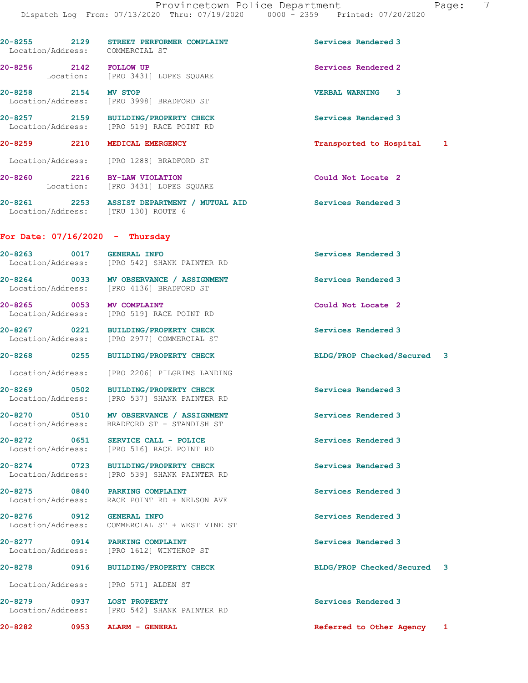| 20-8255 2129              | STREET PERFORMER COMPLAINT<br>Location/Address: COMMERCIAL ST                                          | Services Rendered 3         |  |
|---------------------------|--------------------------------------------------------------------------------------------------------|-----------------------------|--|
|                           | 20-8256 2142 FOLLOW UP<br>Location: [PRO 3431] LOPES SQUARE                                            | Services Rendered 2         |  |
| 20-8258 2154 MV STOP      | Location/Address: [PRO 3998] BRADFORD ST                                                               | <b>VERBAL WARNING 3</b>     |  |
|                           | 20-8257 2159 BUILDING/PROPERTY CHECK<br>Location/Address: [PRO 519] RACE POINT RD                      | Services Rendered 3         |  |
|                           | 20-8259 2210 MEDICAL EMERGENCY                                                                         | Transported to Hospital 1   |  |
|                           | Location/Address: [PRO 1288] BRADFORD ST                                                               |                             |  |
|                           | 20-8260 2216 BY-LAW VIOLATION<br>Location: [PRO 3431] LOPES SQUARE                                     | Could Not Locate 2          |  |
|                           | 20-8261 2253 ASSIST DEPARTMENT / MUTUAL AID Services Rendered 3<br>Location/Address: [TRU 130] ROUTE 6 |                             |  |
|                           | For Date: $07/16/2020 -$ Thursday                                                                      |                             |  |
| 20-8263 0017 GENERAL INFO | Location/Address: [PRO 542] SHANK PAINTER RD                                                           | Services Rendered 3         |  |
|                           | 20-8264 0033 MV OBSERVANCE / ASSIGNMENT<br>Location/Address: [PRO 4136] BRADFORD ST                    | Services Rendered 3         |  |
|                           | 20-8265 0053 MV COMPLAINT<br>Location/Address: [PRO 519] RACE POINT RD                                 | Could Not Locate 2          |  |
|                           | 20-8267 0221 BUILDING/PROPERTY CHECK<br>Location/Address: [PRO 2977] COMMERCIAL ST                     | Services Rendered 3         |  |
|                           | 20-8268 0255 BUILDING/PROPERTY CHECK                                                                   | BLDG/PROP Checked/Secured 3 |  |
|                           | Location/Address: [PRO 2206] PILGRIMS LANDING                                                          |                             |  |
|                           | 20-8269 0502 BUILDING/PROPERTY CHECK<br>Location/Address: [PRO 537] SHANK PAINTER RD                   | Services Rendered 3         |  |
|                           | 20-8270 0510 MV OBSERVANCE / ASSIGNMENT<br>Location/Address: BRADFORD ST + STANDISH ST                 | Services Rendered 3         |  |
| 20-8272 0651              | SERVICE CALL - POLICE<br>Location/Address: [PRO 516] RACE POINT RD                                     | Services Rendered 3         |  |
|                           | 20-8274 0723 BUILDING/PROPERTY CHECK<br>Location/Address: [PRO 539] SHANK PAINTER RD                   | Services Rendered 3         |  |
|                           | 20-8275 0840 PARKING COMPLAINT<br>Location/Address: RACE POINT RD + NELSON AVE                         | Services Rendered 3         |  |
| 20-8276 0912 GENERAL INFO | Location/Address: COMMERCIAL ST + WEST VINE ST                                                         | Services Rendered 3         |  |
|                           | 20-8277 0914 PARKING COMPLAINT<br>Location/Address: [PRO 1612] WINTHROP ST                             | Services Rendered 3         |  |
|                           | 20-8278 0916 BUILDING/PROPERTY CHECK                                                                   | BLDG/PROP Checked/Secured 3 |  |
|                           | Location/Address: [PRO 571] ALDEN ST                                                                   |                             |  |
|                           | 20-8279 0937 LOST PROPERTY<br>Location/Address: [PRO 542] SHANK PAINTER RD                             | Services Rendered 3         |  |
| 20-8282<br>0953           | ALARM - GENERAL                                                                                        | Referred to Other Agency 1  |  |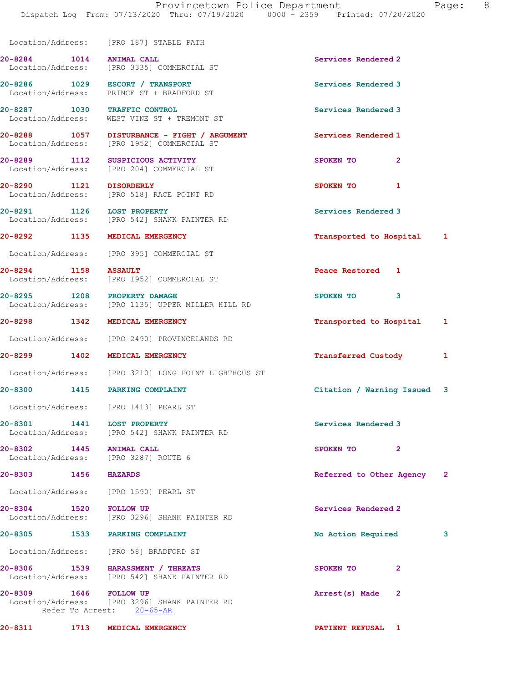|                                                                  | Location/Address: [PRO 187] STABLE PATH                                                   |                             |   |
|------------------------------------------------------------------|-------------------------------------------------------------------------------------------|-----------------------------|---|
| 20-8284 1014 ANIMAL CALL                                         | Location/Address: [PRO 3335] COMMERCIAL ST                                                | Services Rendered 2         |   |
|                                                                  | 20-8286 1029 ESCORT / TRANSPORT<br>Location/Address: PRINCE ST + BRADFORD ST              | Services Rendered 3         |   |
|                                                                  | 20-8287 1030 TRAFFIC CONTROL<br>Location/Address: WEST VINE ST + TREMONT ST               | Services Rendered 3         |   |
|                                                                  | 20-8288 1057 DISTURBANCE - FIGHT / ARGUMENT<br>Location/Address: [PRO 1952] COMMERCIAL ST | Services Rendered 1         |   |
|                                                                  | 20-8289 1112 SUSPICIOUS ACTIVITY<br>Location/Address: [PRO 204] COMMERCIAL ST             | SPOKEN TO<br>$\overline{2}$ |   |
| 20-8290 1121 DISORDERLY                                          | Location/Address: [PRO 518] RACE POINT RD                                                 | SPOKEN TO<br>1              |   |
| 20-8291 1126 LOST PROPERTY                                       | Location/Address: [PRO 542] SHANK PAINTER RD                                              | Services Rendered 3         |   |
| 20-8292 1135 MEDICAL EMERGENCY                                   |                                                                                           | Transported to Hospital 1   |   |
|                                                                  | Location/Address: [PRO 395] COMMERCIAL ST                                                 |                             |   |
|                                                                  | 20-8294 1158 ASSAULT<br>Location/Address: [PRO 1952] COMMERCIAL ST                        | Peace Restored 1            |   |
|                                                                  | 20-8295 1208 PROPERTY DAMAGE<br>Location/Address: [PRO 1135] UPPER MILLER HILL RD         | SPOKEN TO<br>3              |   |
| 20-8298 1342 MEDICAL EMERGENCY                                   |                                                                                           | Transported to Hospital 1   |   |
|                                                                  | Location/Address: [PRO 2490] PROVINCELANDS RD                                             |                             |   |
| 20-8299 1402 MEDICAL EMERGENCY                                   |                                                                                           | <b>Transferred Custody</b>  | 1 |
|                                                                  | Location/Address: [PRO 3210] LONG POINT LIGHTHOUS ST                                      |                             |   |
| 20-8300 1415 PARKING COMPLAINT                                   |                                                                                           | Citation / Warning Issued 3 |   |
| Location/Address: [PRO 1413] PEARL ST                            |                                                                                           |                             |   |
| 20-8301 1441                                                     | <b>LOST PROPERTY</b><br>Location/Address: [PRO 542] SHANK PAINTER RD                      | Services Rendered 3         |   |
| 20-8302 1445 ANIMAL CALL<br>Location/Address: [PRO 3287] ROUTE 6 |                                                                                           | SPOKEN TO<br>$\mathbf{2}$   |   |
| 20-8303 1456 HAZARDS                                             |                                                                                           | Referred to Other Agency 2  |   |
| Location/Address: [PRO 1590] PEARL ST                            |                                                                                           |                             |   |
|                                                                  | 20-8304 1520 FOLLOW UP<br>Location/Address: [PRO 3296] SHANK PAINTER RD                   | Services Rendered 2         |   |
| 20-8305 1533 PARKING COMPLAINT                                   |                                                                                           | No Action Required          | 3 |
|                                                                  | Location/Address: [PRO 58] BRADFORD ST                                                    |                             |   |
|                                                                  | 20-8306 1539 HARASSMENT / THREATS<br>Location/Address: [PRO 542] SHANK PAINTER RD         | SPOKEN TO<br>$\overline{2}$ |   |
| 20-8309 1646 FOLLOW UP                                           | Location/Address: [PRO 3296] SHANK PAINTER RD<br>Refer To Arrest: 20-65-AR                | Arrest(s) Made<br>2         |   |
| 20-8311 1713 MEDICAL EMERGENCY                                   |                                                                                           | PATIENT REFUSAL 1           |   |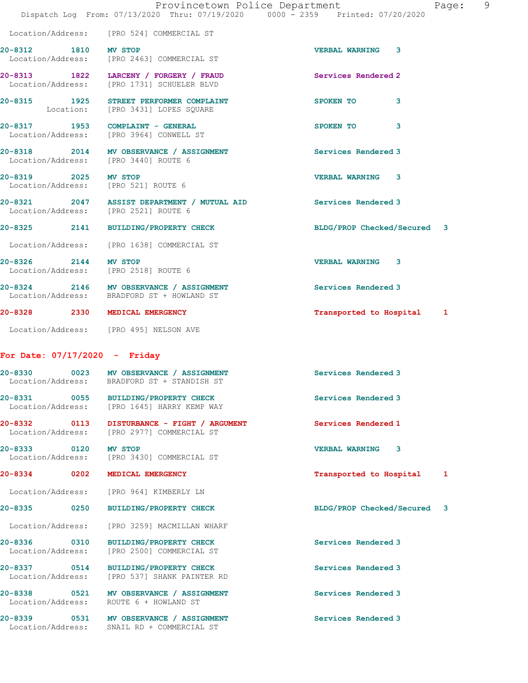|                                 |                                                                                        | Provincetown Police Department<br>Page:                                        | - 9 |
|---------------------------------|----------------------------------------------------------------------------------------|--------------------------------------------------------------------------------|-----|
|                                 |                                                                                        | Dispatch Log From: 07/13/2020 Thru: 07/19/2020 0000 - 2359 Printed: 07/20/2020 |     |
|                                 | Location/Address: [PRO 524] COMMERCIAL ST                                              |                                                                                |     |
|                                 | 20-8312 1810 MV STOP<br>Location/Address: [PRO 2463] COMMERCIAL ST                     | <b>VERBAL WARNING 3</b>                                                        |     |
|                                 | 20-8313 1822 LARCENY / FORGERY / FRAUD<br>Location/Address: [PRO 1731] SCHUELER BLVD   | Services Rendered 2                                                            |     |
|                                 | 20-8315 1925 STREET PERFORMER COMPLAINT<br>Location: [PRO 3431] LOPES SQUARE           | SPOKEN TO<br>3                                                                 |     |
|                                 | 20-8317 1953 COMPLAINT - GENERAL<br>Location/Address: [PRO 3964] CONWELL ST            | SPOKEN TO<br>3                                                                 |     |
|                                 | 20-8318 2014 MV OBSERVANCE / ASSIGNMENT<br>Location/Address: [PRO 3440] ROUTE 6        | Services Rendered 3                                                            |     |
|                                 | 20-8319 2025 MV STOP<br>Location/Address: [PRO 521] ROUTE 6                            | <b>VERBAL WARNING 3</b>                                                        |     |
|                                 | 20-8321 2047 ASSIST DEPARTMENT / MUTUAL AID<br>Location/Address: [PRO 2521] ROUTE 6    | Services Rendered 3                                                            |     |
|                                 | 20-8325 2141 BUILDING/PROPERTY CHECK                                                   | BLDG/PROP Checked/Secured 3                                                    |     |
|                                 | Location/Address: [PRO 1638] COMMERCIAL ST                                             |                                                                                |     |
| 20-8326 2144 MV STOP            | Location/Address: [PRO 2518] ROUTE 6                                                   | <b>VERBAL WARNING 3</b>                                                        |     |
|                                 | 20-8324 2146 MV OBSERVANCE / ASSIGNMENT<br>Location/Address: BRADFORD ST + HOWLAND ST  | Services Rendered 3                                                            |     |
|                                 | 20-8328 2330 MEDICAL EMERGENCY                                                         | Transported to Hospital 1                                                      |     |
|                                 | Location/Address: [PRO 495] NELSON AVE                                                 |                                                                                |     |
| For Date: $07/17/2020 -$ Friday |                                                                                        |                                                                                |     |
|                                 | 20-8330 0023 MV OBSERVANCE / ASSIGNMENT<br>Location/Address: BRADFORD ST + STANDISH ST | Services Rendered 3                                                            |     |

20-8331 0055 BUILDING/PROPERTY CHECK Services Rendered 3 Location/Address: [PRO 1645] HARRY KEMP WAY

20-8332 0113 DISTURBANCE - FIGHT / ARGUMENT Services Rendered 1 Location/Address: [PRO 2977] COMMERCIAL ST

20-8333 0120 MV STOP VERBAL WARNING 3 Location/Address: [PRO 3430] COMMERCIAL ST

20-8334 0202 MEDICAL EMERGENCY Transported to Hospital 1

Location/Address: [PRO 964] KIMBERLY LN

20-8335 0250 BUILDING/PROPERTY CHECK BLDG/PROP Checked/Secured 3

Location/Address: [PRO 3259] MACMILLAN WHARF

20-8336 0310 BUILDING/PROPERTY CHECK Services Rendered 3 Location/Address: [PRO 2500] COMMERCIAL ST

20-8337 0514 BUILDING/PROPERTY CHECK Services Rendered 3 Location/Address: [PRO 537] SHANK PAINTER RD

20-8338 0521 MV OBSERVANCE / ASSIGNMENT Services Rendered 3 Location/Address: ROUTE 6 + HOWLAND ST

20-8339 0531 MV OBSERVANCE / ASSIGNMENT Services Rendered 3 Location/Address: SNAIL RD + COMMERCIAL ST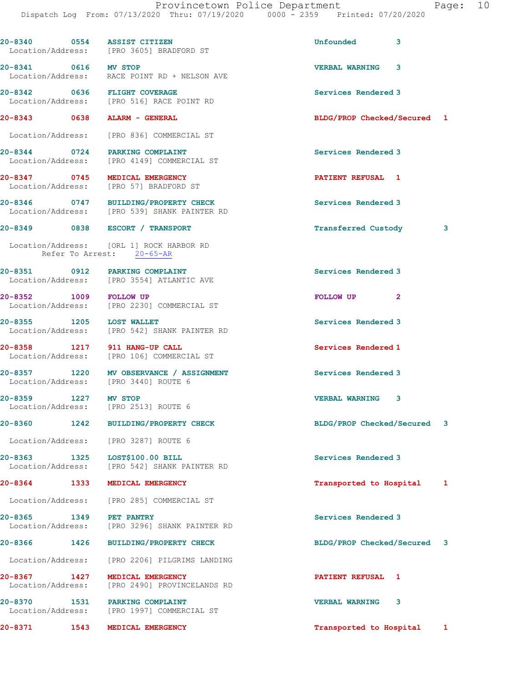| 20-8340 0554 ASSIST CITIZEN   |      | Location/Address: [PRO 3605] BRADFORD ST                                             | Unfounded<br>3              |   |
|-------------------------------|------|--------------------------------------------------------------------------------------|-----------------------------|---|
| 20-8341 0616 MV STOP          |      | Location/Address: RACE POINT RD + NELSON AVE                                         | <b>VERBAL WARNING 3</b>     |   |
| 20-8342 0636 FLIGHT COVERAGE  |      | Location/Address: [PRO 516] RACE POINT RD                                            | Services Rendered 3         |   |
| 20-8343 0638 ALARM - GENERAL  |      |                                                                                      | BLDG/PROP Checked/Secured 1 |   |
|                               |      | Location/Address: [PRO 836] COMMERCIAL ST                                            |                             |   |
|                               |      | 20-8344 0724 PARKING COMPLAINT<br>Location/Address: [PRO 4149] COMMERCIAL ST         | Services Rendered 3         |   |
|                               |      | 20-8347 0745 MEDICAL EMERGENCY<br>Location/Address: [PRO 57] BRADFORD ST             | PATIENT REFUSAL 1           |   |
|                               |      | 20-8346 0747 BUILDING/PROPERTY CHECK<br>Location/Address: [PRO 539] SHANK PAINTER RD | Services Rendered 3         |   |
|                               |      | 20-8349 0838 ESCORT / TRANSPORT                                                      | Transferred Custody 3       |   |
| Refer To Arrest: 20-65-AR     |      | Location/Address: [ORL 1] ROCK HARBOR RD                                             |                             |   |
|                               |      | Location/Address: [PRO 3554] ATLANTIC AVE                                            | Services Rendered 3         |   |
| 20-8352 1009 FOLLOW UP        |      | Location/Address: [PRO 2230] COMMERCIAL ST                                           | FOLLOW UP<br>$\overline{2}$ |   |
| 20-8355 1205 LOST WALLET      |      | Location/Address: [PRO 542] SHANK PAINTER RD                                         | Services Rendered 3         |   |
| 20-8358 1217 911 HANG-UP CALL |      | Location/Address: [PRO 106] COMMERCIAL ST                                            | Services Rendered 1         |   |
|                               |      | 20-8357 1220 MV OBSERVANCE / ASSIGNMENT<br>Location/Address: [PRO 3440] ROUTE 6      | Services Rendered 3         |   |
| 20-8359 1227 MV STOP          |      | Location/Address: [PRO 2513] ROUTE 6                                                 | <b>VERBAL WARNING</b><br>3  |   |
| 20-8360                       | 1242 | <b>BUILDING/PROPERTY CHECK</b>                                                       | BLDG/PROP Checked/Secured   | 3 |
|                               |      | Location/Address: [PRO 3287] ROUTE 6                                                 |                             |   |
| 20-8363 1325                  |      | LOST\$100.00 BILL<br>Location/Address: [PRO 542] SHANK PAINTER RD                    | Services Rendered 3         |   |
| 20-8364 1333                  |      | MEDICAL EMERGENCY                                                                    | Transported to Hospital 1   |   |
|                               |      | Location/Address: [PRO 285] COMMERCIAL ST                                            |                             |   |
| 20-8365 1349                  |      | PET PANTRY<br>Location/Address: [PRO 3296] SHANK PAINTER RD                          | Services Rendered 3         |   |
| 20-8366 1426                  |      | <b>BUILDING/PROPERTY CHECK</b>                                                       | BLDG/PROP Checked/Secured 3 |   |
|                               |      | Location/Address: [PRO 2206] PILGRIMS LANDING                                        |                             |   |
| 20-8367 1427                  |      | MEDICAL EMERGENCY<br>Location/Address: [PRO 2490] PROVINCELANDS RD                   | PATIENT REFUSAL 1           |   |
| 20-8370 1531                  |      | <b>PARKING COMPLAINT</b><br>Location/Address: [PRO 1997] COMMERCIAL ST               | <b>VERBAL WARNING</b><br>3  |   |
| 20-8371                       | 1543 | MEDICAL EMERGENCY                                                                    | Transported to Hospital 1   |   |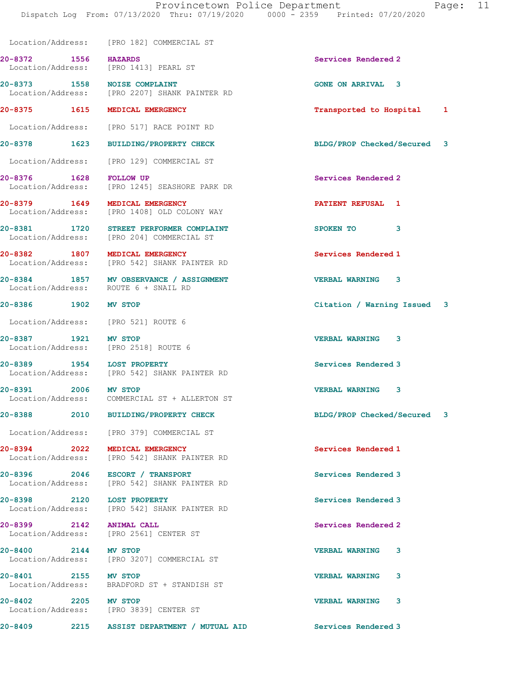Provincetown Police Department Fage: 11 Dispatch Log From: 07/13/2020 Thru: 07/19/2020 0000 - 2359 Printed: 07/20/2020 Location/Address: [PRO 182] COMMERCIAL ST 20-8372 1556 HAZARDS Services Rendered 2 Location/Address: [PRO 1413] PEARL ST 20-8373 1558 NOISE COMPLAINT GONE ON ARRIVAL 3 Location/Address: [PRO 2207] SHANK PAINTER RD 20-8375 1615 MEDICAL EMERGENCY **1200 1200 1200** 12 Transported to Hospital 1 Location/Address: [PRO 517] RACE POINT RD 20-8378 1623 BUILDING/PROPERTY CHECK BLDG/PROP Checked/Secured 3 Location/Address: [PRO 129] COMMERCIAL ST 20-8376 1628 FOLLOW UP **Services** Rendered 2 Location/Address: [PRO 1245] SEASHORE PARK DR 20-8379 1649 MEDICAL EMERGENCY PATIENT REFUSAL 1 Location/Address: [PRO 1408] OLD COLONY WAY 20-8381 1720 STREET PERFORMER COMPLAINT SPOKEN TO 3 Location/Address: [PRO 204] COMMERCIAL ST 20-8382 1807 MEDICAL EMERGENCY 1807 Services Rendered 1<br>
Location/Address: [PRO 542] SHANK PAINTER RD [PRO 542] SHANK PAINTER RD 20-8384 1857 MV OBSERVANCE / ASSIGNMENT VERBAL WARNING 3 Location/Address: ROUTE 6 + SNAIL RD 20-8386 1902 MV STOP Citation / Warning Issued 3 Location/Address: [PRO 521] ROUTE 6 20-8387 1921 MV STOP VERBAL WARNING 3 Location/Address: [PRO 2518] ROUTE 6 20-8389 1954 LOST PROPERTY<br>
Location/Address: [PRO 542] SHANK PAINTER RD<br>
Services Rendered 3 [PRO 542] SHANK PAINTER RD 20-8391 2006 MV STOP VERBAL WARNING 3 Location/Address: COMMERCIAL ST + ALLERTON ST 20-8388 2010 BUILDING/PROPERTY CHECK BLDG/PROP Checked/Secured 3 Location/Address: [PRO 379] COMMERCIAL ST 20-8394 2022 MEDICAL EMERGENCY Services Rendered 1 Location/Address: [PRO 542] SHANK PAINTER RD 20-8396 2046 ESCORT / TRANSPORT Services Rendered 3 Location/Address: [PRO 542] SHANK PAINTER RD 20-8398 2120 LOST PROPERTY<br>
Location/Address: [PRO 542] SHANK PAINTER RD<br>
Services Rendered 3 [PRO 542] SHANK PAINTER RD 20-8399 2142 ANIMAL CALL Services Rendered 2 Location/Address: [PRO 2561] CENTER ST 20-8400 2144 MV STOP 2008 2008 VERBAL WARNING 3<br>
Location/Address: [PRO 3207] COMMERCIAL ST [PRO 3207] COMMERCIAL ST 20-8401 2155 MV STOP VERBAL WARNING 3 Location/Address: BRADFORD ST + STANDISH ST 20-8402 2205 MV STOP VERBAL WARNING 3 Location/Address: [PRO 3839] CENTER ST

20-8409 2215 ASSIST DEPARTMENT / MUTUAL AID Services Rendered 3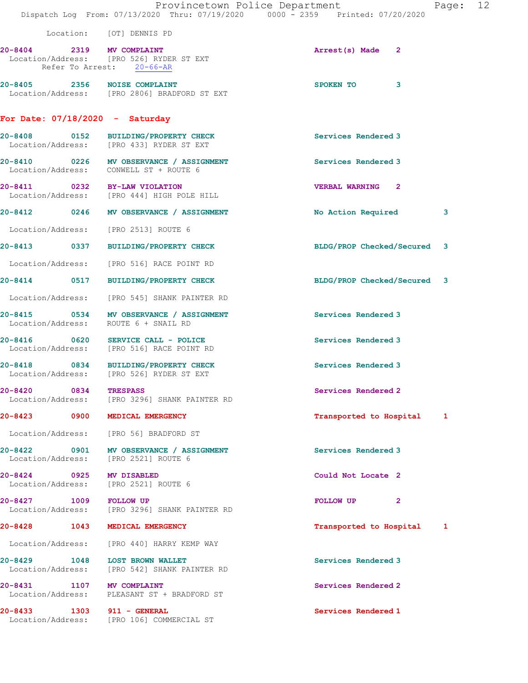|                        |      |                                                                                  | Provincetown Police Department<br>Page: 12<br>Dispatch Log From: 07/13/2020 Thru: 07/19/2020 0000 - 2359 Printed: 07/20/2020 |  |
|------------------------|------|----------------------------------------------------------------------------------|------------------------------------------------------------------------------------------------------------------------------|--|
|                        |      |                                                                                  |                                                                                                                              |  |
|                        |      | Location: [OT] DENNIS PD                                                         |                                                                                                                              |  |
|                        |      | 20-8404 2319 MV COMPLAINT<br>Location/Address: [PRO 526] RYDER ST EXT            | Arrest(s) Made 2                                                                                                             |  |
|                        |      | Refer To Arrest: 20-66-AR                                                        |                                                                                                                              |  |
|                        |      | 20-8405 2356 NOISE COMPLAINT                                                     | SPOKEN TO<br>3                                                                                                               |  |
|                        |      | Location/Address: [PRO 2806] BRADFORD ST EXT                                     |                                                                                                                              |  |
|                        |      | For Date: $07/18/2020 -$ Saturday                                                |                                                                                                                              |  |
|                        |      | 20-8408 0152 BUILDING/PROPERTY CHECK<br>Location/Address: [PRO 433] RYDER ST EXT | Services Rendered 3                                                                                                          |  |
|                        |      | 20-8410 0226 MV OBSERVANCE / ASSIGNMENT                                          | Services Rendered 3                                                                                                          |  |
|                        |      | Location/Address: CONWELL ST + ROUTE 6                                           |                                                                                                                              |  |
|                        |      | 20-8411 0232 BY-LAW VIOLATION<br>Location/Address: [PRO 444] HIGH POLE HILL      | <b>VERBAL WARNING 2</b>                                                                                                      |  |
|                        |      | 20-8412 0246 MV OBSERVANCE / ASSIGNMENT                                          | No Action Required<br>3                                                                                                      |  |
|                        |      | Location/Address: [PRO 2513] ROUTE 6                                             |                                                                                                                              |  |
|                        |      | 20-8413 0337 BUILDING/PROPERTY CHECK                                             | BLDG/PROP Checked/Secured 3                                                                                                  |  |
|                        |      | Location/Address: [PRO 516] RACE POINT RD                                        |                                                                                                                              |  |
|                        |      | 20-8414 0517 BUILDING/PROPERTY CHECK                                             | BLDG/PROP Checked/Secured 3                                                                                                  |  |
|                        |      | Location/Address: [PRO 545] SHANK PAINTER RD                                     |                                                                                                                              |  |
| Location/Address:      |      | 20-8415 0534 MV OBSERVANCE / ASSIGNMENT<br>ROUTE 6 + SNAIL RD                    | Services Rendered 3                                                                                                          |  |
|                        |      | 20-8416 0620 SERVICE CALL - POLICE<br>Location/Address: [PRO 516] RACE POINT RD  | Services Rendered 3                                                                                                          |  |
|                        |      | 20-8418 0834 BUILDING/PROPERTY CHECK<br>Location/Address: [PRO 526] RYDER ST EXT | Services Rendered 3                                                                                                          |  |
| $20 - 8420$            | 0834 | <b>TRESPASS</b><br>Location/Address: [PRO 3296] SHANK PAINTER RD                 | Services Rendered 2                                                                                                          |  |
|                        |      | 20-8423 0900 MEDICAL EMERGENCY                                                   | Transported to Hospital 1                                                                                                    |  |
|                        |      | Location/Address: [PRO 56] BRADFORD ST                                           |                                                                                                                              |  |
|                        |      | 20-8422 0901 MV OBSERVANCE / ASSIGNMENT<br>Location/Address: [PRO 2521] ROUTE 6  | Services Rendered 3                                                                                                          |  |
| Location/Address:      |      | 20-8424 0925 MV DISABLED<br>[PRO 2521] ROUTE 6                                   | Could Not Locate 2                                                                                                           |  |
| 20-8427 1009 FOLLOW UP |      | Location/Address: [PRO 3296] SHANK PAINTER RD                                    | FOLLOW UP <sub>2</sub>                                                                                                       |  |
|                        |      | 20-8428 1043 MEDICAL EMERGENCY                                                   | Transported to Hospital<br>1                                                                                                 |  |
|                        |      | Location/Address: [PRO 440] HARRY KEMP WAY                                       |                                                                                                                              |  |
|                        |      | 20-8429 1048 LOST BROWN WALLET<br>Location/Address: [PRO 542] SHANK PAINTER RD   | Services Rendered 3                                                                                                          |  |
|                        |      | 20-8431 1107 MV COMPLAINT<br>Location/Address: PLEASANT ST + BRADFORD ST         | Services Rendered 2                                                                                                          |  |
|                        |      | 20-8433 1303 911 - GENERAL<br>Location/Address: [PRO 106] COMMERCIAL ST          | Services Rendered 1                                                                                                          |  |
|                        |      |                                                                                  |                                                                                                                              |  |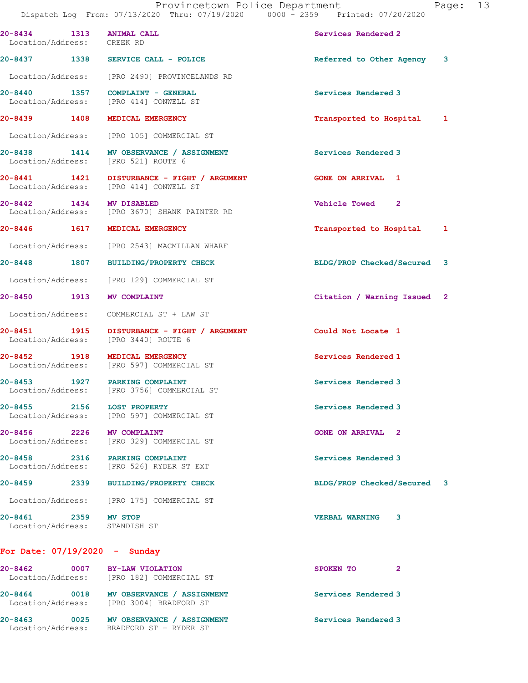| 20-8434 1313 ANIMAL CALL<br>Location/Address: CREEK RD |                                                                                       | Services Rendered 2         |
|--------------------------------------------------------|---------------------------------------------------------------------------------------|-----------------------------|
|                                                        | 20-8437 1338 SERVICE CALL - POLICE                                                    | Referred to Other Agency 3  |
|                                                        | Location/Address: [PRO 2490] PROVINCELANDS RD                                         |                             |
| 20-8440 1357                                           | COMPLAINT - GENERAL<br>Location/Address: [PRO 414] CONWELL ST                         | Services Rendered 3         |
| 20-8439 1408                                           | MEDICAL EMERGENCY                                                                     | Transported to Hospital 1   |
|                                                        | Location/Address: [PRO 105] COMMERCIAL ST                                             |                             |
|                                                        | 20-8438 1414 MV OBSERVANCE / ASSIGNMENT<br>Location/Address: [PRO 521] ROUTE 6        | Services Rendered 3         |
|                                                        | 20-8441 1421 DISTURBANCE - FIGHT / ARGUMENT<br>Location/Address: [PRO 414] CONWELL ST | <b>GONE ON ARRIVAL 1</b>    |
| 20-8442 1434 MV DISABLED                               | Location/Address: [PRO 3670] SHANK PAINTER RD                                         | Vehicle Towed 2             |
| 20-8446 1617                                           | MEDICAL EMERGENCY                                                                     | Transported to Hospital 1   |
|                                                        | Location/Address: [PRO 2543] MACMILLAN WHARF                                          |                             |
| 20-8448 1807                                           | <b>BUILDING/PROPERTY CHECK</b>                                                        | BLDG/PROP Checked/Secured 3 |
|                                                        | Location/Address: [PRO 129] COMMERCIAL ST                                             |                             |
| 20-8450 1913 MV COMPLAINT                              |                                                                                       | Citation / Warning Issued 2 |
|                                                        | Location/Address: COMMERCIAL ST + LAW ST                                              |                             |
|                                                        | 20-8451 1915 DISTURBANCE - FIGHT / ARGUMENT<br>Location/Address: [PRO 3440] ROUTE 6   | Could Not Locate 1          |
| 20-8452 1918                                           | MEDICAL EMERGENCY<br>Location/Address: [PRO 597] COMMERCIAL ST                        | Services Rendered 1         |
|                                                        | 20-8453 1927 PARKING COMPLAINT<br>Location/Address: [PRO 3756] COMMERCIAL ST          | Services Rendered 3         |
| 2156<br>20-8455                                        | <b>LOST PROPERTY</b><br>Location/Address: [PRO 597] COMMERCIAL ST                     | Services Rendered 3         |
| 20-8456 2226                                           | MV COMPLAINT<br>Location/Address: [PRO 329] COMMERCIAL ST                             | <b>GONE ON ARRIVAL 2</b>    |
|                                                        | 20-8458 2316 PARKING COMPLAINT<br>Location/Address: [PRO 526] RYDER ST EXT            | Services Rendered 3         |
| 20-8459                                                | 2339 BUILDING/PROPERTY CHECK                                                          | BLDG/PROP Checked/Secured 3 |
|                                                        | Location/Address: [PRO 175] COMMERCIAL ST                                             |                             |
| 20-8461 2359 MV STOP<br>Location/Address: STANDISH ST  |                                                                                       | <b>VERBAL WARNING</b><br>3  |
| For Date: $07/19/2020 -$ Sunday                        |                                                                                       |                             |
| 20-8462 0007                                           | BY-LAW VIOLATION<br>Location/Address: [PRO 182] COMMERCIAL ST                         | $\mathbf{2}$<br>SPOKEN TO   |
|                                                        | Location/Address: [PRO 3004] BRADFORD ST                                              | Services Rendered 3         |
| 20-8463                                                | 0025<br>MV OBSERVANCE / ASSIGNMENT                                                    | Services Rendered 3         |

Location/Address: BRADFORD ST + RYDER ST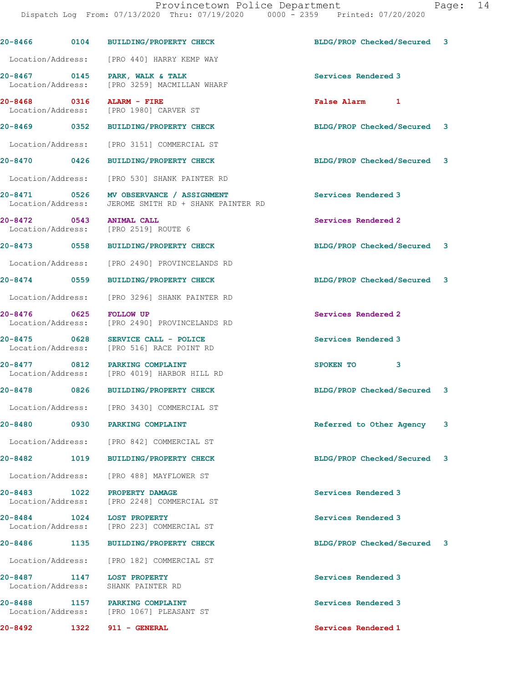|                                   |      | 20-8466 0104 BUILDING/PROPERTY CHECK                                                            | BLDG/PROP Checked/Secured 3 |   |
|-----------------------------------|------|-------------------------------------------------------------------------------------------------|-----------------------------|---|
|                                   |      | Location/Address: [PRO 440] HARRY KEMP WAY                                                      |                             |   |
|                                   |      | 20-8467 0145 PARK, WALK & TALK<br>Location/Address: [PRO 3259] MACMILLAN WHARF                  | Services Rendered 3         |   |
| 20-8468 0316                      |      | ALARM - FIRE<br>Location/Address: [PRO 1980] CARVER ST                                          | False Alarm 1               |   |
|                                   |      | 20-8469 0352 BUILDING/PROPERTY CHECK                                                            | BLDG/PROP Checked/Secured 3 |   |
|                                   |      | Location/Address: [PRO 3151] COMMERCIAL ST                                                      |                             |   |
| 20-8470 0426                      |      | <b>BUILDING/PROPERTY CHECK</b>                                                                  | BLDG/PROP Checked/Secured 3 |   |
|                                   |      | Location/Address: [PRO 530] SHANK PAINTER RD                                                    |                             |   |
|                                   |      | 20-8471 0526 MV OBSERVANCE / ASSIGNMENT<br>Location/Address: JEROME SMITH RD + SHANK PAINTER RD | Services Rendered 3         |   |
|                                   |      | 20-8472 0543 ANIMAL CALL<br>Location/Address: [PRO 2519] ROUTE 6                                | Services Rendered 2         |   |
|                                   |      | 20-8473 0558 BUILDING/PROPERTY CHECK                                                            | BLDG/PROP Checked/Secured 3 |   |
|                                   |      | Location/Address: [PRO 2490] PROVINCELANDS RD                                                   |                             |   |
| 20-8474 0559                      |      | <b>BUILDING/PROPERTY CHECK</b>                                                                  | BLDG/PROP Checked/Secured 3 |   |
|                                   |      | Location/Address: [PRO 3296] SHANK PAINTER RD                                                   |                             |   |
| 20-8476 0625                      |      | <b>FOLLOW UP</b><br>Location/Address: [PRO 2490] PROVINCELANDS RD                               | Services Rendered 2         |   |
| 20-8475 0628                      |      | SERVICE CALL - POLICE<br>Location/Address: [PRO 516] RACE POINT RD                              | Services Rendered 3         |   |
| 20-8477 0812                      |      | PARKING COMPLAINT<br>Location/Address: [PRO 4019] HARBOR HILL RD                                | 3<br>SPOKEN TO              |   |
|                                   |      | 20-8478 0826 BUILDING/PROPERTY CHECK                                                            | BLDG/PROP Checked/Secured 3 |   |
|                                   |      | Location/Address: [PRO 3430] COMMERCIAL ST                                                      |                             |   |
| 20-8480                           | 0930 | PARKING COMPLAINT                                                                               | Referred to Other Agency    | 3 |
|                                   |      | Location/Address: [PRO 842] COMMERCIAL ST                                                       |                             |   |
| 20-8482                           | 1019 | <b>BUILDING/PROPERTY CHECK</b>                                                                  | BLDG/PROP Checked/Secured 3 |   |
| Location/Address:                 |      | [PRO 488] MAYFLOWER ST                                                                          |                             |   |
| 20-8483 1022<br>Location/Address: |      | PROPERTY DAMAGE<br>[PRO 2248] COMMERCIAL ST                                                     | Services Rendered 3         |   |
| 20-8484<br>Location/Address:      | 1024 | <b>LOST PROPERTY</b><br>[PRO 223] COMMERCIAL ST                                                 | Services Rendered 3         |   |
| 20-8486                           | 1135 | <b>BUILDING/PROPERTY CHECK</b>                                                                  | BLDG/PROP Checked/Secured 3 |   |
|                                   |      | Location/Address: [PRO 182] COMMERCIAL ST                                                       |                             |   |
| 20-8487 1147<br>Location/Address: |      | LOST PROPERTY<br>SHANK PAINTER RD                                                               | Services Rendered 3         |   |
| 20-8488<br>Location/Address:      | 1157 | PARKING COMPLAINT<br>[PRO 1067] PLEASANT ST                                                     | Services Rendered 3         |   |
| 20-8492                           | 1322 | 911 - GENERAL                                                                                   | Services Rendered 1         |   |